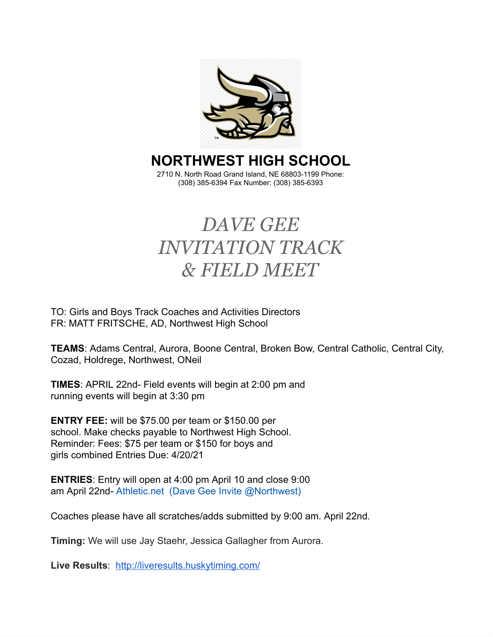

# **NORTHWEST HIGH SCHOOL**

2710 N. North Road Grand Island, NE 68803-1199 Phone: (308) 385-6394 Fax Number: (308) 385-6393

# *DAVE GEE INVITATION TRACK & FIELD MEET*

TO: Girls and Boys Track Coaches and Activities Directors FR: MATT FRITSCHE, AD, Northwest High School

**TEAMS**: Adams Central, Aurora, Boone Central, Broken Bow, Central Catholic, Central City, Cozad, Holdrege, Northwest, ONeil

**TIMES** : APRIL 22nd- Field events will begin at 2:00 pm and running events will begin at 3:30 pm

**ENTRY FEE:** will be \$75.00 per team or \$150.00 per school. Make checks payable to Northwest High School. Reminder: Fees: \$75 per team or \$150 for boys and girls combined Entries Due: 4/20/21

**ENTRIES:** Entry will open at 4:00 pm April 10 and close 9:00 am April 22nd- Athletic.net (Dave Gee Invite @Northwest)

Coaches please have all scratches/adds submitted by 9:00 am. April 22nd.

**Timing:** We will use Jay Staehr, Jessica Gallagher from Aurora.

**Live Results** : <http://liveresults.huskytiming.com/>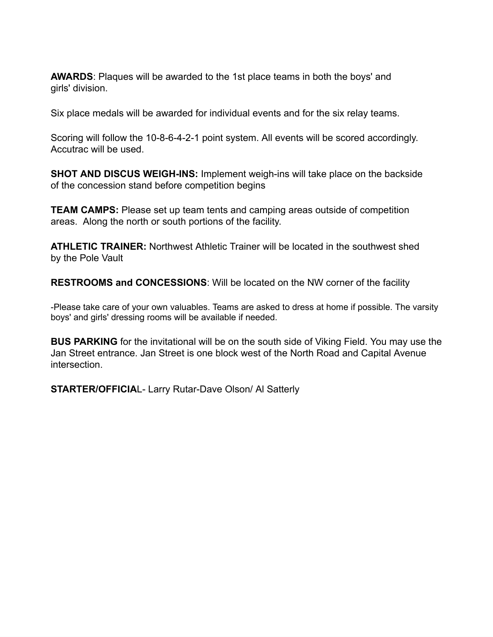**AWARDS:** Plaques will be awarded to the 1st place teams in both the boys' and girls' division.

Six place medals will be awarded for individual events and for the six relay teams.

Scoring will follow the 10-8-6-4-2-1 point system. All events will be scored accordingly. Accutrac will be used.

**SHOT AND DISCUS WEIGH-INS:** Implement weigh-ins will take place on the backside of the concession stand before competition begins

**TEAM CAMPS:** Please set up team tents and camping areas outside of competition areas. Along the north or south portions of the facility.

**ATHLETIC TRAINER:** Northwest Athletic Trainer will be located in the southwest shed by the Pole Vault

**RESTROOMS and CONCESSIONS:** Will be located on the NW corner of the facility

-Please take care of your own valuables. Teams are asked to dress at home if possible. The varsity boys' and girls' dressing rooms will be available if needed.

**BUS PARKING** for the invitational will be on the south side of Viking Field. You may use the Jan Street entrance. Jan Street is one block west of the North Road and Capital Avenue intersection.

**STARTER/OFFICIAL-Larry Rutar-Dave Olson/ Al Satterly**